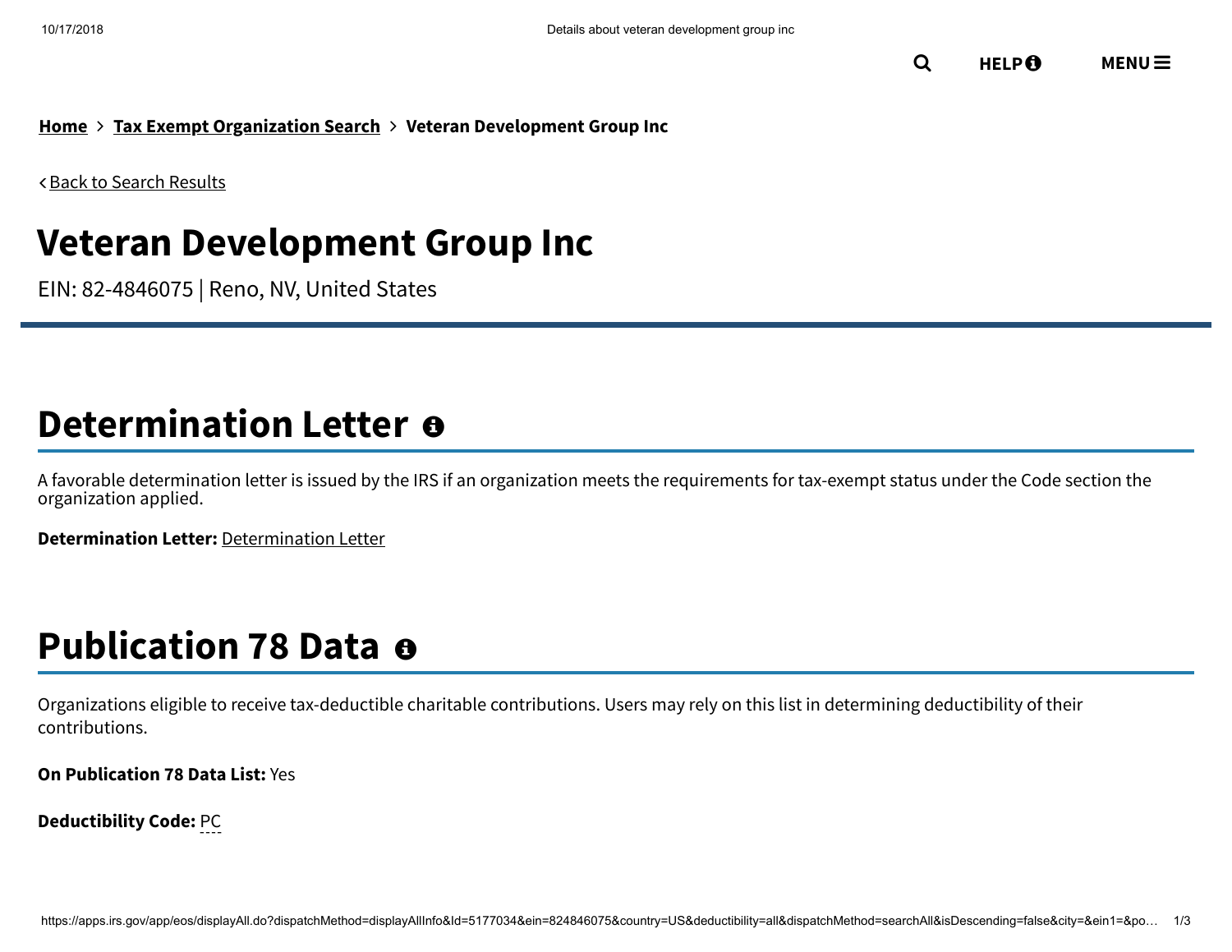**[Home](https://www.irs.gov/) Tax Exempt [Organization](https://apps.irs.gov/app/eos/) Search Veteran Development Group Inc**

Back to Search [Results](javascript: history.go(-1))

## **Veteran Development Group Inc**

EIN: 82-4846075 | Reno, NV, United States

## **Determination Letter**

A favorable determination letter is issued by the IRS if an organization meets the requirements for tax-exempt status under the Code section the organization applied.

**Determination Letter:** [Determination](https://apps.irs.gov/pub/epostcard/dl/FinalLetter_82-4846075_VETERANDEVELOPMENTGROUPINC_04232018.tif) Letter

## **Publication 78 Data**

Organizations eligible to receive tax-deductible charitable contributions. Users may rely on this list in determining deductibility of their contributions.

**On Publication 78 Data List:** Yes

**Deductibility Code:** PC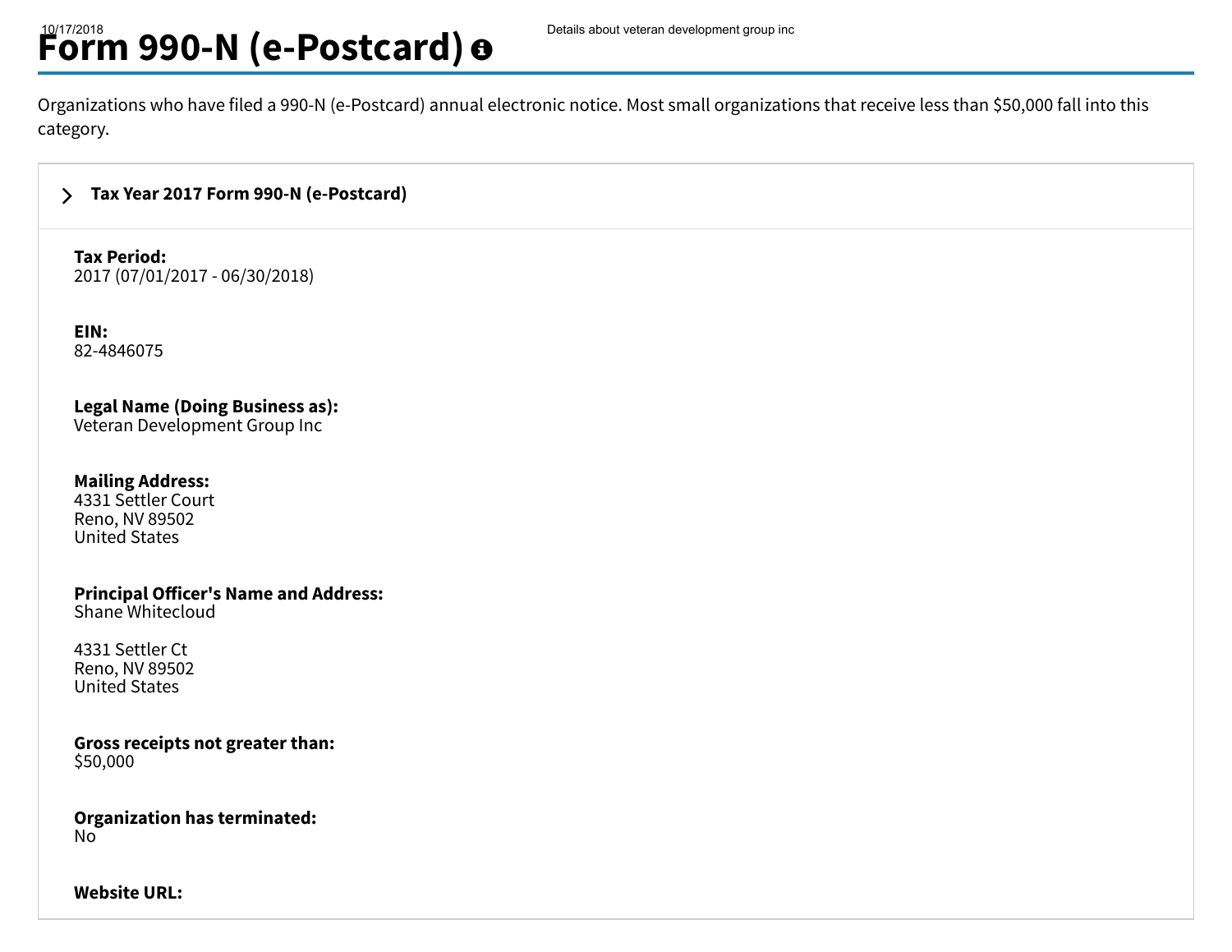# **Form 990-N (e-Postcard)**  $\boldsymbol{\theta}$  Details about veteran development group inc

Organizations who have filed a 990-N (e-Postcard) annual electronic notice. Most small organizations that receive less than \$50,000 fall into this category.

https://apps.irs.gov/app/eos/dispatchmathod=displayAll.do?dispatchMethod=searchAll&isDescending=false&city=all

#### $\sum$ **Tax Year 2017 Form 990-N [\(e-Postcard\)](https://www.irs.gov/credits-deductions-for-individuals#ePostcard00)**

### **Tax Period:**

2017 (07/01/2017 - 06/30/2018)

**EIN:** 82-4846075

**Legal Name (Doing Business as):**

Veteran Development Group Inc

### **Mailing Address:**

4331 Settler Court Reno, NV 89502 United States

**Principal Officer's Name and Address:** Shane Whitecloud

4331 Settler Ct Reno, NV 89502 United States

**Gross receipts not greater than:** \$50,000

**Organization has terminated:** No

**Website URL:**